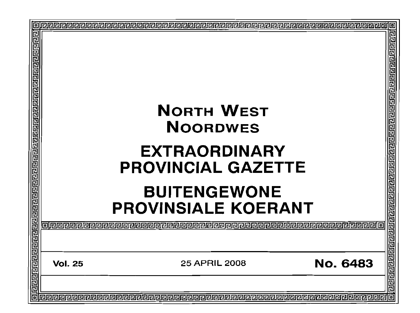| <u>गवावावावायणे बावावावाचाचावावावावावावावावावाचाचावावावावावावावा</u><br><b>NORTH WEST</b><br><b>NOORDWES</b><br><b>EXTRAORDINARY</b><br><b>PROVINCIAL GAZETTE</b><br><b>BUITENGEWONE</b><br><b>PROVINSIALE KOERANT</b> |  |  |  |
|------------------------------------------------------------------------------------------------------------------------------------------------------------------------------------------------------------------------|--|--|--|
|                                                                                                                                                                                                                        |  |  |  |
|                                                                                                                                                                                                                        |  |  |  |
|                                                                                                                                                                                                                        |  |  |  |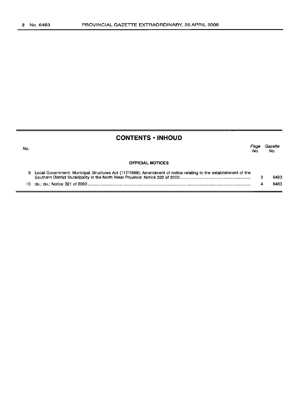No.

# **CONTENTS ·INHOUD**

Page Gazette No. No.

## **OFFICIAL NOTICES**

| Local Government: Municipal Structures Act (117/1998): Amendment of notice relating to the establishment of the | 6483 |
|-----------------------------------------------------------------------------------------------------------------|------|
|                                                                                                                 | 6483 |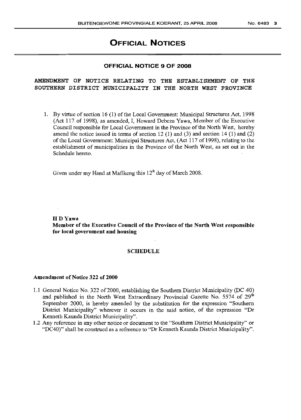# **OFFICIAL NOTICES**

## **OFFICIAL NOTICE 9 OF 2008**

# AMENDMENT OF NOTICE RELATING TO THE ESTABLISHMENT OF THE SOUTHERN DISTRICT MUNICIPALITY IN THE NORTH WEST PROVINCE

1. By virtue of section 16 (1) of the Local Government: Municipal Structures Act, 1998 (Act 117 of 1998), as amended, I, Howard Debeza Yawa, Member of the Executive Council responsible for Local Government in the Province ofthe North West, hereby amend the notice issued in terms of section 12 (1) and (3) and section 14 (1) and (2) of the Local Government: Municipal Structures Act, (Act 117 of 1998), relating to the establishment of municipalities in the Province of the North West, as set out in the Schedule hereto.

Given under my Hand at Mafikeng this  $12<sup>th</sup>$  day of March 2008.

HDYawa

Member of the Executive Council of the Province of the North West responsible for local government and housing

## SCHEDULE

#### Amendment of Notice 322 of 2000

- 1.1 General Notice No. 322 of 2000, establishing the Southern District Municipality (DC 40) and published in the North West Extraordinary Provincial Gazette No. 5574 of 29<sup>th</sup> September 2000, is hereby amended by the substitution for the expression "Southern District Municipality" wherever it occurs in the said notice, of the expression "Dr Kenneth Kaunda District Municipality".
- 1.2 Any reference in any other notice or document to the "Southern District Municipality" or "DC40)" shall be construed as a reference to "Dr Kenneth Kaunda District Municipality".